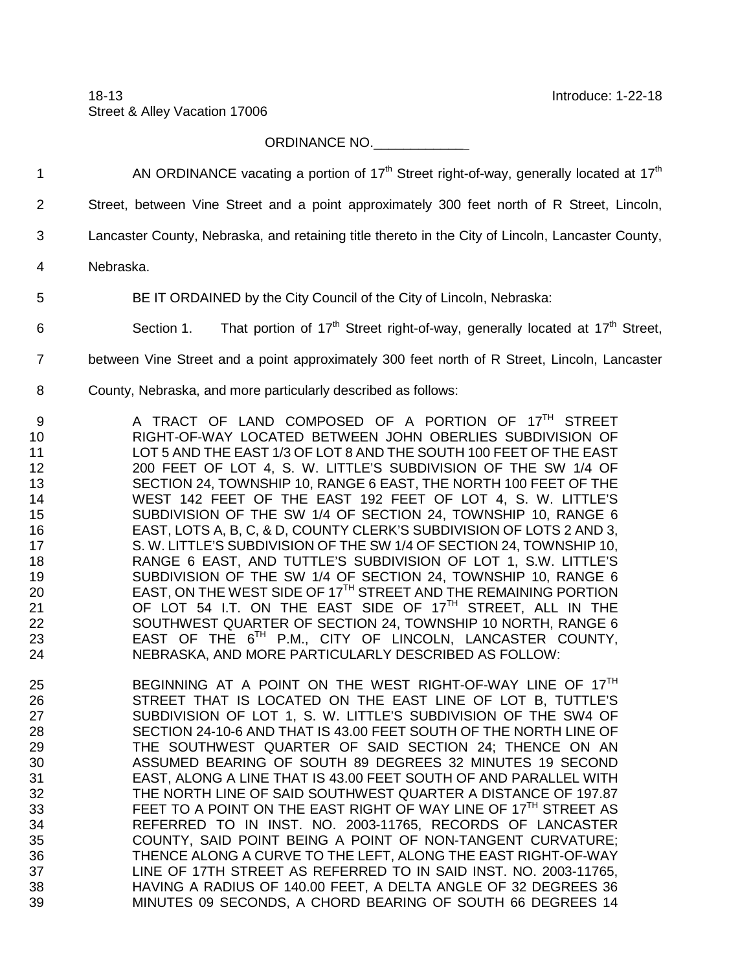18-13 Introduce: 1-22-18 Street & Alley Vacation 17006

ORDINANCE NO.\_\_\_\_\_\_\_\_\_\_\_\_

AN ORDINANCE vacating a portion of  $17<sup>th</sup>$  Street right-of-way, generally located at  $17<sup>th</sup>$ 

| $\overline{2}$                                                                              | Street, between Vine Street and a point approximately 300 feet north of R Street, Lincoln,                                                                                                                                                                                                                                                                                                                                                                                                                                                                                                                                                                                                                                                                                                                                                                                                                                                                                                                                                                                                   |
|---------------------------------------------------------------------------------------------|----------------------------------------------------------------------------------------------------------------------------------------------------------------------------------------------------------------------------------------------------------------------------------------------------------------------------------------------------------------------------------------------------------------------------------------------------------------------------------------------------------------------------------------------------------------------------------------------------------------------------------------------------------------------------------------------------------------------------------------------------------------------------------------------------------------------------------------------------------------------------------------------------------------------------------------------------------------------------------------------------------------------------------------------------------------------------------------------|
| 3                                                                                           | Lancaster County, Nebraska, and retaining title thereto in the City of Lincoln, Lancaster County,                                                                                                                                                                                                                                                                                                                                                                                                                                                                                                                                                                                                                                                                                                                                                                                                                                                                                                                                                                                            |
| 4                                                                                           | Nebraska.                                                                                                                                                                                                                                                                                                                                                                                                                                                                                                                                                                                                                                                                                                                                                                                                                                                                                                                                                                                                                                                                                    |
| 5                                                                                           | BE IT ORDAINED by the City Council of the City of Lincoln, Nebraska:                                                                                                                                                                                                                                                                                                                                                                                                                                                                                                                                                                                                                                                                                                                                                                                                                                                                                                                                                                                                                         |
| 6                                                                                           | That portion of 17 <sup>th</sup> Street right-of-way, generally located at 17 <sup>th</sup> Street,<br>Section 1.                                                                                                                                                                                                                                                                                                                                                                                                                                                                                                                                                                                                                                                                                                                                                                                                                                                                                                                                                                            |
| $\overline{7}$                                                                              | between Vine Street and a point approximately 300 feet north of R Street, Lincoln, Lancaster                                                                                                                                                                                                                                                                                                                                                                                                                                                                                                                                                                                                                                                                                                                                                                                                                                                                                                                                                                                                 |
| 8                                                                                           | County, Nebraska, and more particularly described as follows:                                                                                                                                                                                                                                                                                                                                                                                                                                                                                                                                                                                                                                                                                                                                                                                                                                                                                                                                                                                                                                |
| 9<br>10<br>11<br>12<br>13<br>14<br>15<br>16<br>17<br>18<br>19<br>20<br>21<br>22<br>23<br>24 | A TRACT OF LAND COMPOSED OF A PORTION OF 17 <sup>TH</sup> STREET<br>RIGHT-OF-WAY LOCATED BETWEEN JOHN OBERLIES SUBDIVISION OF<br>LOT 5 AND THE EAST 1/3 OF LOT 8 AND THE SOUTH 100 FEET OF THE EAST<br>200 FEET OF LOT 4, S. W. LITTLE'S SUBDIVISION OF THE SW 1/4 OF<br>SECTION 24, TOWNSHIP 10, RANGE 6 EAST, THE NORTH 100 FEET OF THE<br>WEST 142 FEET OF THE EAST 192 FEET OF LOT 4, S. W. LITTLE'S<br>SUBDIVISION OF THE SW 1/4 OF SECTION 24, TOWNSHIP 10, RANGE 6<br>EAST, LOTS A, B, C, & D, COUNTY CLERK'S SUBDIVISION OF LOTS 2 AND 3,<br>S. W. LITTLE'S SUBDIVISION OF THE SW 1/4 OF SECTION 24, TOWNSHIP 10,<br>RANGE 6 EAST, AND TUTTLE'S SUBDIVISION OF LOT 1, S.W. LITTLE'S<br>SUBDIVISION OF THE SW 1/4 OF SECTION 24, TOWNSHIP 10, RANGE 6<br>EAST, ON THE WEST SIDE OF 17TH STREET AND THE REMAINING PORTION<br>OF LOT 54 I.T. ON THE EAST SIDE OF 17 <sup>TH</sup> STREET, ALL IN THE<br>SOUTHWEST QUARTER OF SECTION 24, TOWNSHIP 10 NORTH, RANGE 6<br>EAST OF THE 6TH P.M., CITY OF LINCOLN, LANCASTER COUNTY,<br>NEBRASKA, AND MORE PARTICULARLY DESCRIBED AS FOLLOW: |
| 25<br>26<br>27<br>28<br>29<br>30<br>31<br>32<br>33<br>34<br>35<br>36<br>37<br>38<br>39      | BEGINNING AT A POINT ON THE WEST RIGHT-OF-WAY LINE OF 17TH<br>STREET THAT IS LOCATED ON THE EAST LINE OF LOT B, TUTTLE'S<br>SUBDIVISION OF LOT 1, S. W. LITTLE'S SUBDIVISION OF THE SW4 OF<br>SECTION 24-10-6 AND THAT IS 43.00 FEET SOUTH OF THE NORTH LINE OF<br>THE SOUTHWEST QUARTER OF SAID SECTION 24; THENCE ON AN<br>ASSUMED BEARING OF SOUTH 89 DEGREES 32 MINUTES 19 SECOND<br>EAST, ALONG A LINE THAT IS 43.00 FEET SOUTH OF AND PARALLEL WITH<br>THE NORTH LINE OF SAID SOUTHWEST QUARTER A DISTANCE OF 197.87<br>FEET TO A POINT ON THE EAST RIGHT OF WAY LINE OF 17TH STREET AS<br>REFERRED TO IN INST. NO. 2003-11765, RECORDS OF LANCASTER<br>COUNTY, SAID POINT BEING A POINT OF NON-TANGENT CURVATURE;<br>THENCE ALONG A CURVE TO THE LEFT, ALONG THE EAST RIGHT-OF-WAY<br>LINE OF 17TH STREET AS REFERRED TO IN SAID INST. NO. 2003-11765.<br>HAVING A RADIUS OF 140.00 FEET, A DELTA ANGLE OF 32 DEGREES 36<br>MINUTES 09 SECONDS, A CHORD BEARING OF SOUTH 66 DEGREES 14                                                                                                |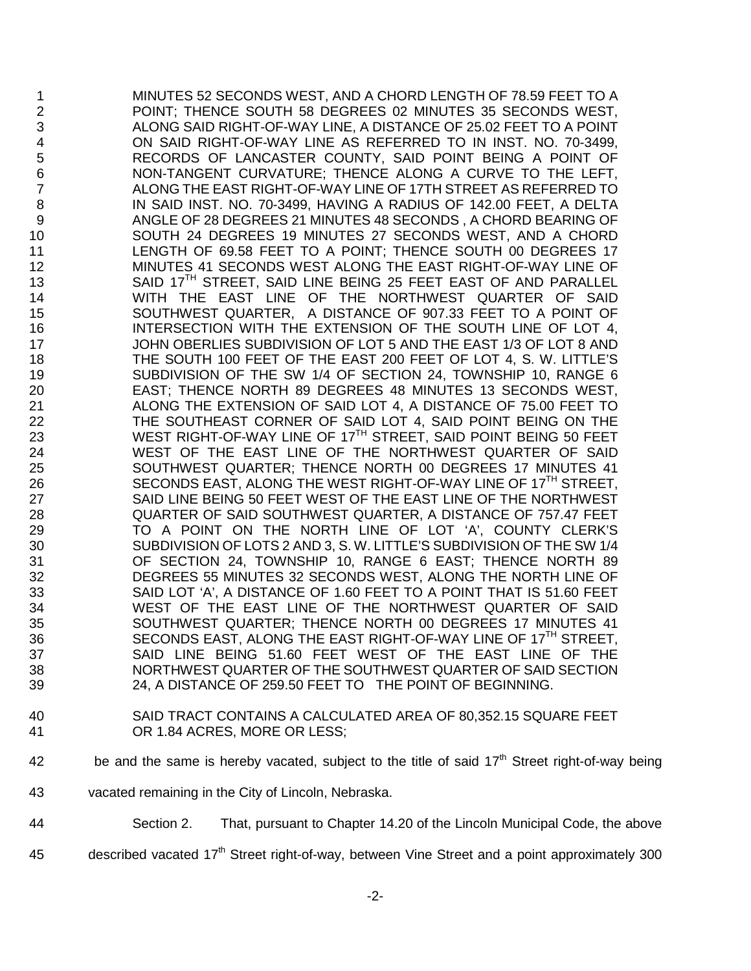1 MINUTES 52 SECONDS WEST, AND A CHORD LENGTH OF 78.59 FEET TO A<br>2 POINT: THENCE SOUTH 58 DEGREES 02 MINUTES 35 SECONDS WEST. POINT; THENCE SOUTH 58 DEGREES 02 MINUTES 35 SECONDS WEST, ALONG SAID RIGHT-OF-WAY LINE, A DISTANCE OF 25.02 FEET TO A POINT ON SAID RIGHT-OF-WAY LINE AS REFERRED TO IN INST. NO. 70-3499, RECORDS OF LANCASTER COUNTY, SAID POINT BEING A POINT OF NON-TANGENT CURVATURE; THENCE ALONG A CURVE TO THE LEFT, ALONG THE EAST RIGHT-OF-WAY LINE OF 17TH STREET AS REFERRED TO 8 IN SAID INST. NO. 70-3499, HAVING A RADIUS OF 142.00 FEET, A DELTA 9 ANGLE OF 28 DEGREES 21 MINUTES 48 SECONDS , A CHORD BEARING OF 10<br>SOUTH 24 DEGREES 19 MINUTES 27 SECONDS WEST, AND A CHORD 10 SOUTH 24 DEGREES 19 MINUTES 27 SECONDS WEST, AND A CHORD<br>11 LENGTH OF 69.58 FEET TO A POINT: THENCE SOUTH 00 DEGREES 17 LENGTH OF 69.58 FEET TO A POINT; THENCE SOUTH 00 DEGREES 17 MINUTES 41 SECONDS WEST ALONG THE EAST RIGHT-OF-WAY LINE OF 13 SAID 17<sup>TH</sup> STREET, SAID LINE BEING 25 FEET EAST OF AND PARALLEL WITH THE EAST LINE OF THE NORTHWEST QUARTER OF SAID SOUTHWEST QUARTER, A DISTANCE OF 907.33 FEET TO A POINT OF INTERSECTION WITH THE EXTENSION OF THE SOUTH LINE OF LOT 4, JOHN OBERLIES SUBDIVISION OF LOT 5 AND THE EAST 1/3 OF LOT 8 AND THE SOUTH 100 FEET OF THE EAST 200 FEET OF LOT 4, S. W. LITTLE'S SUBDIVISION OF THE SW 1/4 OF SECTION 24, TOWNSHIP 10, RANGE 6 EAST; THENCE NORTH 89 DEGREES 48 MINUTES 13 SECONDS WEST, ALONG THE EXTENSION OF SAID LOT 4, A DISTANCE OF 75.00 FEET TO THE SOUTHEAST CORNER OF SAID LOT 4, SAID POINT BEING ON THE 23 WEST RIGHT-OF-WAY LINE OF 17<sup>TH</sup> STREET, SAID POINT BEING 50 FEET<br>24 WEST OF THE EAST LINE OF THE NORTHWEST QUARTER OF SAID 24 WEST OF THE EAST LINE OF THE NORTHWEST QUARTER OF SAID<br>25 SOUTHWEST QUARTER: THENCE NORTH 00 DEGREES 17 MINUTES 41 SOUTHWEST QUARTER; THENCE NORTH 00 DEGREES 17 MINUTES 41 26 SECONDS EAST, ALONG THE WEST RIGHT-OF-WAY LINE OF 17<sup>TH</sup> STREET, SAID LINE BEING 50 FEET WEST OF THE EAST LINE OF THE NORTHWEST QUARTER OF SAID SOUTHWEST QUARTER, A DISTANCE OF 757.47 FEET TO A POINT ON THE NORTH LINE OF LOT 'A', COUNTY CLERK'S SUBDIVISION OF LOTS 2 AND 3, S. W. LITTLE'S SUBDIVISION OF THE SW 1/4 OF SECTION 24, TOWNSHIP 10, RANGE 6 EAST; THENCE NORTH 89 DEGREES 55 MINUTES 32 SECONDS WEST, ALONG THE NORTH LINE OF SAID LOT 'A', A DISTANCE OF 1.60 FEET TO A POINT THAT IS 51.60 FEET WEST OF THE EAST LINE OF THE NORTHWEST QUARTER OF SAID SOUTHWEST QUARTER; THENCE NORTH 00 DEGREES 17 MINUTES 41 36 SECONDS EAST, ALONG THE EAST RIGHT-OF-WAY LINE OF 17<sup>TH</sup> STREET, SAID LINE BEING 51.60 FEET WEST OF THE EAST LINE OF THE NORTHWEST QUARTER OF THE SOUTHWEST QUARTER OF SAID SECTION 24, A DISTANCE OF 259.50 FEET TO THE POINT OF BEGINNING.

- SAID TRACT CONTAINS A CALCULATED AREA OF 80,352.15 SQUARE FEET OR 1.84 ACRES, MORE OR LESS;
- 42 be and the same is hereby vacated, subject to the title of said 17<sup>th</sup> Street right-of-way being
- vacated remaining in the City of Lincoln, Nebraska.
- Section 2. That, pursuant to Chapter 14.20 of the Lincoln Municipal Code, the above
- 45 described vacated 17<sup>th</sup> Street right-of-way, between Vine Street and a point approximately 300